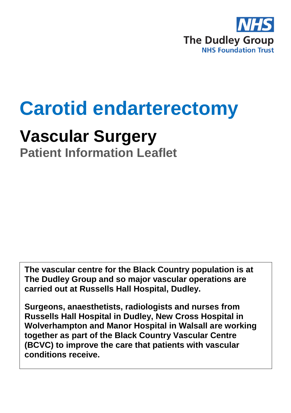

# **Carotid endarterectomy**

## **Vascular Surgery**

**Patient Information Leaflet**

**The vascular centre for the Black Country population is at The Dudley Group and so major vascular operations are carried out at Russells Hall Hospital, Dudley.**

**Surgeons, anaesthetists, radiologists and nurses from Russells Hall Hospital in Dudley, New Cross Hospital in Wolverhampton and Manor Hospital in Walsall are working together as part of the Black Country Vascular Centre (BCVC) to improve the care that patients with vascular conditions receive.**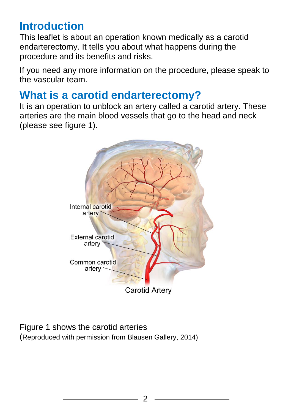#### **Introduction**

This leaflet is about an operation known medically as a carotid endarterectomy. It tells you about what happens during the procedure and its benefits and risks.

If you need any more information on the procedure, please speak to the vascular team.

#### **What is a carotid endarterectomy?**

It is an operation to unblock an artery called a carotid artery. These arteries are the main blood vessels that go to the head and neck (please see figure 1).



Figure 1 shows the carotid arteries (Reproduced with permission from Blausen Gallery, 2014)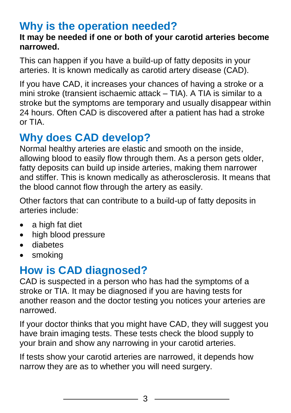#### **Why is the operation needed?**

#### **It may be needed if one or both of your carotid arteries become narrowed.**

This can happen if you have a build-up of fatty deposits in your arteries. It is known medically as carotid artery disease (CAD).

If you have CAD, it increases your chances of having a [stroke](http://www.nhs.uk/conditions/Stroke/Pages/Introduction.aspx) or a mini stroke [\(transient ischaemic attack –](http://www.nhs.uk/conditions/Transient-ischaemic-attack/Pages/Introduction.aspx) TIA). A TIA is similar to a stroke but the symptoms are temporary and usually disappear within 24 hours. Often CAD is discovered after a patient has had a stroke or TIA.

## **Why does CAD develop?**

Normal healthy arteries are elastic and smooth on the inside, allowing blood to easily flow through them. As a person gets older, fatty deposits can build up inside arteries, making them narrower and stiffer. This is known medically as [atherosclerosis.](http://www.nhs.uk/conditions/atherosclerosis/pages/introduction.aspx) It means that the blood cannot flow through the artery as easily.

Other factors that can contribute to a build-up of fatty deposits in arteries include:

- a high fat diet
- high blood pressure
- [diabetes](http://www.nhs.uk/conditions/Diabetes/Pages/Introduction.aspx)
- [smoking](http://www.nhs.uk/conditions/Smoking-(quitting)/Pages/introduction.aspx)

## **How is CAD diagnosed?**

CAD is suspected in a person who has had the [symptoms of a](http://www.nhs.uk/Conditions/Stroke/Pages/Symptoms.aspx)  [stroke](http://www.nhs.uk/Conditions/Stroke/Pages/Symptoms.aspx) or TIA. It may be diagnosed if you are having tests for another reason and the doctor testing you notices your arteries are narrowed.

If your doctor thinks that you might have CAD, they will suggest you have brain imaging tests. These tests check the blood supply to your brain and show any narrowing in your carotid arteries.

If tests show your carotid arteries are narrowed, it depends how narrow they are as to whether you will need surgery.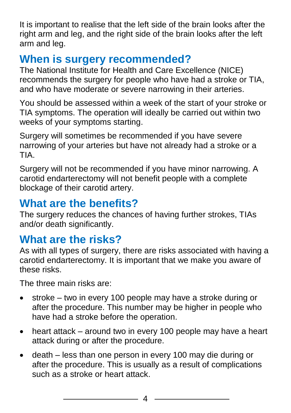It is important to realise that the left side of the brain looks after the right arm and leg, and the right side of the brain looks after the left arm and leg.

#### **When is surgery recommended?**

The National Institute for Health and Care Excellence (NICE) recommends the surgery for people who have had a stroke or TIA, and who have moderate or severe narrowing in their arteries.

You should be assessed within a week of the start of your stroke or TIA symptoms. The operation will ideally be carried out within two weeks of your symptoms starting.

Surgery will sometimes be recommended if you have severe narrowing of your arteries but have not already had a stroke or a TIA.

Surgery will not be recommended if you have minor narrowing. A carotid endarterectomy will not benefit people with a complete blockage of their carotid artery.

#### **What are the benefits?**

The surgery reduces the chances of having further strokes, TIAs and/or death significantly.

#### **What are the risks?**

As with all types of surgery, there are risks associated with having a carotid endarterectomy. It is important that we make you aware of these risks.

The three main risks are:

- stroke two in every 100 people may have a stroke during or after the procedure. This number may be higher in people who have had a stroke before the operation.
- heart attack around two in every 100 people may have a heart attack during or after the procedure.
- death less than one person in every 100 may die during or after the procedure. This is usually as a result of complications such as a stroke or heart attack.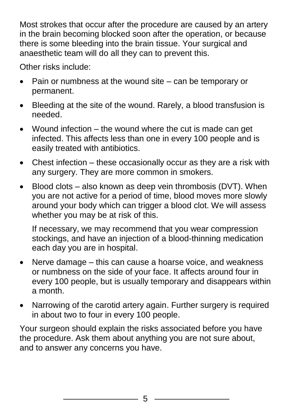Most strokes that occur after the procedure are caused by an artery in the brain becoming blocked soon after the operation, or because there is some bleeding into the brain tissue. Your surgical and anaesthetic team will do all they can to prevent this.

Other risks include:

- Pain or numbness at the wound site can be temporary or permanent.
- Bleeding at the site of the wound. Rarely, a blood transfusion is needed.
- Wound infection the wound where the cut is made can get infected. This affects less than one in every 100 people and is easily treated with antibiotics.
- Chest infection these occasionally occur as they are a risk with any surgery. They are more common in smokers.
- $\bullet$  Blood clots also known as deep vein thrombosis (DVT). When you are not active for a period of time, blood moves more slowly around your body which can trigger a blood clot. We will assess whether you may be at risk of this.

If necessary, we may recommend that you wear compression stockings, and have an injection of a blood-thinning medication each day you are in hospital.

- Nerve damage this can cause a hoarse voice, and weakness or numbness on the side of your face. It affects around four in every 100 people, but is usually temporary and disappears within a month.
- Narrowing of the carotid artery again. Further surgery is required in about two to four in every 100 people.

Your surgeon should explain the risks associated before you have the procedure. Ask them about anything you are not sure about, and to answer any concerns you have.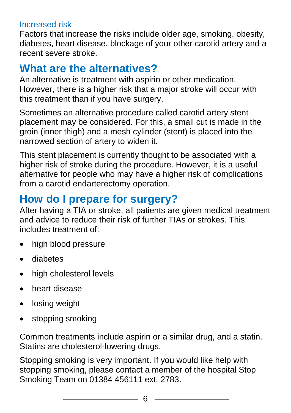#### Increased risk

Factors that increase the risks include older age, smoking, obesity, diabetes, heart disease, blockage of your other carotid artery and a recent severe stroke.

#### **What are the alternatives?**

An alternative is treatment with aspirin or other medication. However, there is a higher risk that a major stroke will occur with this treatment than if you have surgery.

Sometimes an alternative procedure called carotid artery stent placement may be considered. For this, a small cut is made in the groin (inner thigh) and a mesh cylinder (stent) is placed into the narrowed section of artery to widen it.

This stent placement is currently thought to be associated with a higher risk of stroke during the procedure. However, it is a useful alternative for people who may have a higher risk of complications from a carotid endarterectomy operation.

#### **How do I prepare for surgery?**

After having a TIA or stroke, all patients are given medical treatment and advice to reduce their risk of further TIAs or strokes. This includes treatment of:

- high blood pressure
- diabetes
- high cholesterol levels
- heart disease
- losing weight
- stopping smoking

Common treatments include aspirin or a similar drug, and a statin. Statins are cholesterol-lowering drugs.

Stopping smoking is very important. If you would like help with stopping smoking, please contact a member of the hospital Stop Smoking Team on 01384 456111 ext. 2783.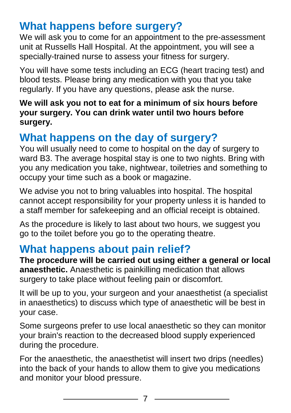## **What happens before surgery?**

We will ask you to come for an appointment to the pre-assessment unit at Russells Hall Hospital. At the appointment, you will see a specially-trained nurse to assess your fitness for surgery.

You will have some tests including an ECG (heart tracing test) and blood tests. Please bring any medication with you that you take regularly. If you have any questions, please ask the nurse.

**We will ask you not to eat for a minimum of six hours before your surgery. You can drink water until two hours before surgery.** 

## **What happens on the day of surgery?**

You will usually need to come to hospital on the day of surgery to ward B3. The average hospital stay is one to two nights. Bring with you any medication you take, nightwear, toiletries and something to occupy your time such as a book or magazine.

We advise you not to bring valuables into hospital. The hospital cannot accept responsibility for your property unless it is handed to a staff member for safekeeping and an official receipt is obtained.

As the procedure is likely to last about two hours, we suggest you go to the toilet before you go to the operating theatre.

#### **What happens about pain relief?**

**The procedure will be carried out using either a general or local anaesthetic.** Anaesthetic is painkilling medication that allows surgery to take place without feeling pain or discomfort.

It will be up to you, your surgeon and your anaesthetist (a specialist in anaesthetics) to discuss which type of anaesthetic will be best in your case.

Some surgeons prefer to use local anaesthetic so they can monitor your brain's reaction to the decreased blood supply experienced during the procedure.

For the anaesthetic, the anaesthetist will insert two drips (needles) into the back of your hands to allow them to give you medications and monitor your blood pressure.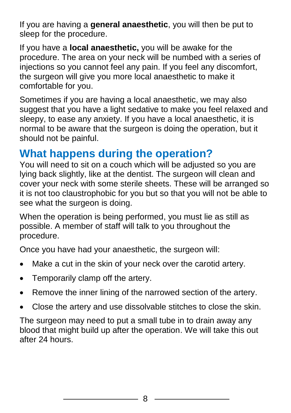If you are having a **[general anaesthetic](http://www.nhs.uk/Conditions/Anaesthetic-general/Pages/Definition.aspx)**, you will then be put to sleep for the procedure.

If you have a **[local anaesthetic,](http://www.nhs.uk/Conditions/Anaesthetic-local/Pages/Introduction.aspx?url=Pages/What-is-it.aspx)** you will be awake for the procedure. The area on your neck will be numbed with a series of injections so you cannot feel any pain. If you feel any discomfort, the surgeon will give you more local anaesthetic to make it comfortable for you.

Sometimes if you are having a local anaesthetic, we may also suggest that you have a light sedative to make you feel relaxed and sleepy, to ease any anxiety. If you have a local anaesthetic, it is normal to be aware that the surgeon is doing the operation, but it should not be painful.

#### **What happens during the operation?**

You will need to sit on a couch which will be adjusted so you are lying back slightly, like at the dentist. The surgeon will clean and cover your neck with some sterile sheets. These will be arranged so it is not too claustrophobic for you but so that you will not be able to see what the surgeon is doing.

When the operation is being performed, you must lie as still as possible. A member of staff will talk to you throughout the procedure.

Once you have had your anaesthetic, the surgeon will:

- Make a cut in the skin of your neck over the carotid artery.
- Temporarily clamp off the artery.
- Remove the inner lining of the narrowed section of the artery.
- Close the artery and use dissolvable stitches to close the skin.

The surgeon may need to put a small tube in to drain away any blood that might build up after the operation. We will take this out after 24 hours.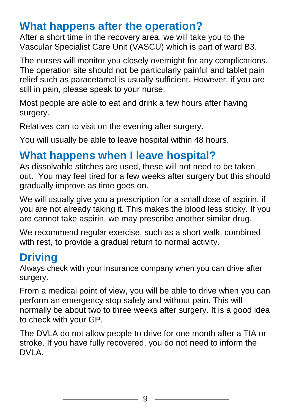#### **What happens after the operation?**

After a short time in the recovery area, we will take you to the Vascular Specialist Care Unit (VASCU) which is part of ward B3.

The nurses will monitor you closely overnight for any complications. The operation site should not be particularly painful and tablet pain relief such as paracetamol is usually sufficient. However, if you are still in pain, please speak to your nurse.

Most people are able to eat and drink a few hours after having surgery.

Relatives can to visit on the evening after surgery.

You will usually be able to leave hospital within 48 hours.

#### **What happens when I leave hospital?**

As dissolvable stitches are used, these will not need to be taken out. You may feel tired for a few weeks after surgery but this should gradually improve as time goes on.

We will usually give you a prescription for a small dose of aspirin, if you are not already taking it. This makes the blood less sticky. If you are cannot take aspirin, we may prescribe another similar drug.

We recommend regular exercise, such as a short walk, combined with rest, to provide a gradual return to normal activity.

#### **Driving**

Always check with your insurance company when you can drive after surgery.

From a medical point of view, you will be able to drive when you can perform an emergency stop safely and without pain. This will normally be about two to three weeks after surgery. It is a good idea to check with your GP.

The DVLA do not allow people to drive for one month after a TIA or stroke. If you have fully recovered, you do not need to inform the DVLA.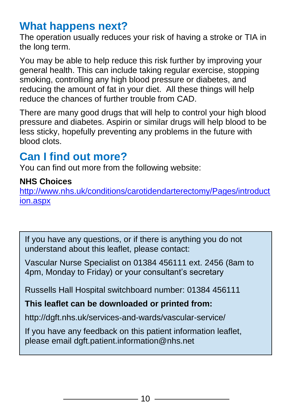#### **What happens next?**

The operation usually reduces your risk of having a stroke or TIA in the long term.

You may be able to help reduce this risk further by improving your general health. This can include taking regular exercise, stopping smoking, controlling any high blood pressure or diabetes, and reducing the amount of fat in your diet. All these things will help reduce the chances of further trouble from CAD.

There are many good drugs that will help to control your high blood pressure and diabetes. Aspirin or similar drugs will help blood to be less sticky, hopefully preventing any problems in the future with blood clots.

#### **Can I find out more?**

You can find out more from the following website:

#### **NHS Choices**

[http://www.nhs.uk/conditions/carotidendarterectomy/Pages/introduct](http://www.nhs.uk/conditions/carotidendarterectomy/Pages/introduction.aspx) [ion.aspx](http://www.nhs.uk/conditions/carotidendarterectomy/Pages/introduction.aspx)

If you have any questions, or if there is anything you do not understand about this leaflet, please contact:

Vascular Nurse Specialist on 01384 456111 ext. 2456 (8am to 4pm, Monday to Friday) or your consultant's secretary

Russells Hall Hospital switchboard number: 01384 456111

#### **This leaflet can be downloaded or printed from:**

http://dgft.nhs.uk/services-and-wards/vascular-service/

If you have any feedback on this patient information leaflet, please email dgft.patient.information@nhs.net